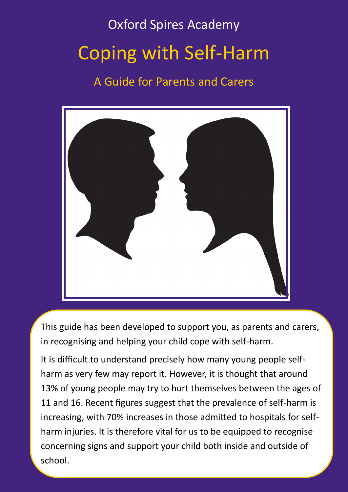# Oxford Spires Academy Coping with Self-Harm

A Guide for Parents and Carers



This guide has been developed to support you, as parents and carers, in recognising and helping your child cope with self-harm.

It is difficult to understand precisely how many young people selfharm as very few may report it. However, it is thought that around 13% of young people may try to hurt themselves between the ages of 11 and 16. Recent figures suggest that the prevalence of self-harm is increasing, with 70% increases in those admitted to hospitals for selfharm injuries. It is therefore vital for us to be equipped to recognise concerning signs and support your child both inside and outside of school.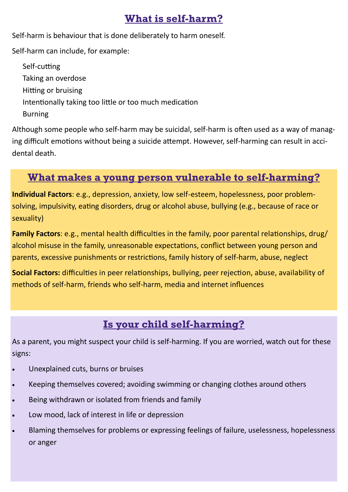## **What is self-harm?**

Self-harm is behaviour that is done deliberately to harm oneself.

Self-harm can include, for example:

Self-cutting Taking an overdose Hitting or bruising Intentionally taking too little or too much medication Burning

Although some people who self-harm may be suicidal, self-harm is often used as a way of managing difficult emotions without being a suicide attempt. However, self-harming can result in accidental death.

#### **What makes a young person vulnerable to self-harming?**

**Individual Factors**: e.g., depression, anxiety, low self-esteem, hopelessness, poor problemsolving, impulsivity, eating disorders, drug or alcohol abuse, bullying (e.g., because of race or sexuality)

**Family Factors**: e.g., mental health difficulties in the family, poor parental relationships, drug/ alcohol misuse in the family, unreasonable expectations, conflict between young person and parents, excessive punishments or restrictions, family history of self-harm, abuse, neglect

**Social Factors:** difficulties in peer relationships, bullying, peer rejection, abuse, availability of methods of self-harm, friends who self-harm, media and internet influences

## **Is your child self-harming?**

As a parent, you might suspect your child is self-harming. If you are worried, watch out for these signs:

- Unexplained cuts, burns or bruises
- Keeping themselves covered; avoiding swimming or changing clothes around others
- Being withdrawn or isolated from friends and family
- Low mood, lack of interest in life or depression
- Blaming themselves for problems or expressing feelings of failure, uselessness, hopelessness or anger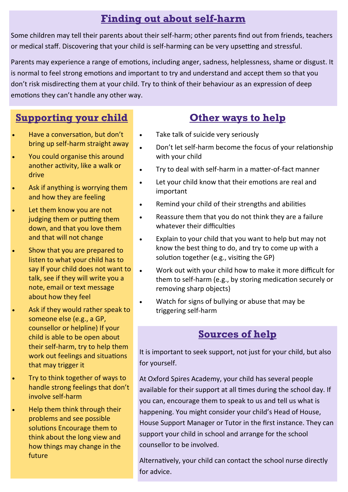#### **Finding out about self-harm**

Some children may tell their parents about their self-harm; other parents find out from friends, teachers or medical staff. Discovering that your child is self-harming can be very upsetting and stressful.

Parents may experience a range of emotions, including anger, sadness, helplessness, shame or disgust. It is normal to feel strong emotions and important to try and understand and accept them so that you don't risk misdirecting them at your child. Try to think of their behaviour as an expression of deep emotions they can't handle any other way.

## **Supporting your child**

- Have a conversation, but don't bring up self-harm straight away
- You could organise this around another activity, like a walk or drive
- Ask if anything is worrying them and how they are feeling
- Let them know you are not judging them or putting them down, and that you love them and that will not change
- Show that you are prepared to listen to what your child has to say If your child does not want to talk, see if they will write you a note, email or text message about how they feel
- Ask if they would rather speak to someone else (e.g., a GP, counsellor or helpline) If your child is able to be open about their self-harm, try to help them work out feelings and situations that may trigger it
- Try to think together of ways to handle strong feelings that don't involve self-harm
- Help them think through their problems and see possible solutions Encourage them to think about the long view and how things may change in the future

# **Other ways to help**

- Take talk of suicide very seriously
- Don't let self-harm become the focus of your relationship with your child
- Try to deal with self-harm in a matter-of-fact manner
- Let your child know that their emotions are real and important
- Remind your child of their strengths and abilities
- Reassure them that you do not think they are a failure whatever their difficulties
- Explain to your child that you want to help but may not know the best thing to do, and try to come up with a solution together (e.g., visiting the GP)
- Work out with your child how to make it more difficult for them to self-harm (e.g., by storing medication securely or removing sharp objects)
- Watch for signs of bullying or abuse that may be triggering self-harm

## **Sources of help**

It is important to seek support, not just for your child, but also for yourself.

At Oxford Spires Academy, your child has several people available for their support at all times during the school day. If you can, encourage them to speak to us and tell us what is happening. You might consider your child's Head of House, House Support Manager or Tutor in the first instance. They can support your child in school and arrange for the school counsellor to be involved.

Alternatively, your child can contact the school nurse directly for advice.